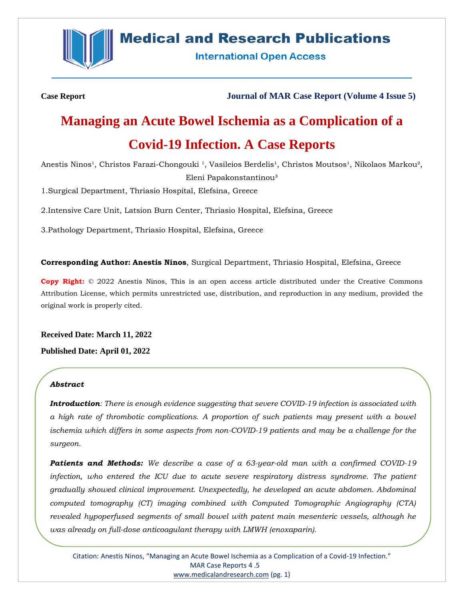

# **Medical and Research Publications**

**International Open Access** 

**Case Report Journal of MAR Case Report (Volume 4 Issue 5)**

# **Managing an Acute Bowel Ischemia as a Complication of a Covid-19 Infection. A Case Reports**

Anestis Ninos<sup>1</sup>, Christos Farazi-Chongouki<sup>1</sup>, Vasileios Berdelis<sup>1</sup>, Christos Moutsos<sup>1</sup>, Nikolaos Markou<sup>2</sup>, Eleni Papakonstantinou³

1.Surgical Department, Thriasio Hospital, Elefsina, Greece

2.Intensive Care Unit, Latsion Burn Center, Thriasio Hospital, Elefsina, Greece

3.Pathology Department, Thriasio Hospital, Elefsina, Greece

**Corresponding Author: Anestis Ninos**, Surgical Department, Thriasio Hospital, Elefsina, Greece

**Copy Right:** © 2022 Anestis Ninos, This is an open access article distributed under the Creative Commons Attribution License, which permits unrestricted use, distribution, and reproduction in any medium, provided the original work is properly cited.

**Received Date: March 11, 2022 Published Date: April 01, 2022**

#### *Abstract*

*Introduction: There is enough evidence suggesting that severe COVID-19 infection is associated with a high rate of thrombotic complications. A proportion of such patients may present with a bowel ischemia which differs in some aspects from non-COVID-19 patients and may be a challenge for the surgeon.*

*Patients and Methods: We describe a case of a 63-year-old man with a confirmed COVID-19*  infection, who entered the ICU due to acute severe respiratory distress syndrome. The patient *gradually showed clinical improvement. Unexpectedly, he developed an acute abdomen. Abdominal computed tomography (CT) imaging combined with Computed Tomographic Angiography (CTA) revealed hypoperfused segments of small bowel with patent main mesenteric vessels, although he was already on full-dose anticoagulant therapy with LMWH (enoxaparin).*

Citation: Anestis Ninos, "Managing an Acute Bowel Ischemia as a Complication of a Covid-19 Infection." MAR Case Reports 4 .5 [www.medicalandresearch.com](http://www.medicalandresearch.com/) (pg. 1)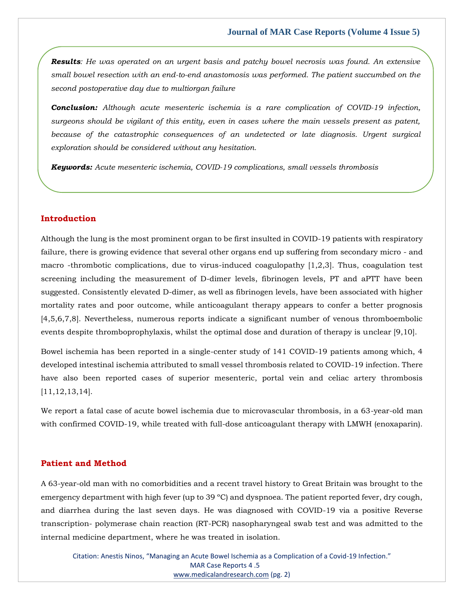*Results: He was operated on an urgent basis and patchy bowel necrosis was found. An extensive small bowel resection with an end-to-end anastomosis was performed. The patient succumbed on the second postoperative day due to multiorgan failure*

*Conclusion: Although acute mesenteric ischemia is a rare complication of COVID-19 infection, surgeons should be vigilant of this entity, even in cases where the main vessels present as patent, because of the catastrophic consequences of an undetected or late diagnosis. Urgent surgical exploration should be considered without any hesitation.*

*Keywords: Acute mesenteric ischemia, COVID-19 complications, small vessels thrombosis*

# **Introduction**

Although the lung is the most prominent organ to be first insulted in COVID-19 patients with respiratory failure, there is growing evidence that several other organs end up suffering from secondary micro - and macro -thrombotic complications, due to virus-induced coagulopathy [1,2,3]. Thus, coagulation test screening including the measurement of D-dimer levels, fibrinogen levels, PT and aPTT have been suggested. Consistently elevated D-dimer, as well as fibrinogen levels, have been associated with higher mortality rates and poor outcome, while anticoagulant therapy appears to confer a better prognosis [4,5,6,7,8]. Nevertheless, numerous reports indicate a significant number of venous thromboembolic events despite thromboprophylaxis, whilst the optimal dose and duration of therapy is unclear [9,10].

Βowel ischemia has been reported in a single-center study of 141 COVID-19 patients among which, 4 developed intestinal ischemia attributed to small vessel thrombosis related to COVID-19 infection. Τhere have also been reported cases of superior mesenteric, portal vein and celiac artery thrombosis [11,12,13,14].

We report a fatal case of acute bowel ischemia due to microvascular thrombosis, in a 63-year-old man with confirmed COVID-19, while treated with full-dose anticoagulant therapy with LMWH (enoxaparin).

# **Patient and Method**

A 63-year-old man with no comorbidities and a recent travel history to Great Britain was brought to the emergency department with high fever (up to 39 °C) and dyspnoea. The patient reported fever, dry cough, and diarrhea during the last seven days. He was diagnosed with COVID-19 via a positive Reverse transcription- polymerase chain reaction (RT-PCR) nasopharyngeal swab test and was admitted to the internal medicine department, where he was treated in isolation.

Citation: Anestis Ninos, "Managing an Acute Bowel Ischemia as a Complication of a Covid-19 Infection." MAR Case Reports 4 .5 [www.medicalandresearch.com](http://www.medicalandresearch.com/) (pg. 2)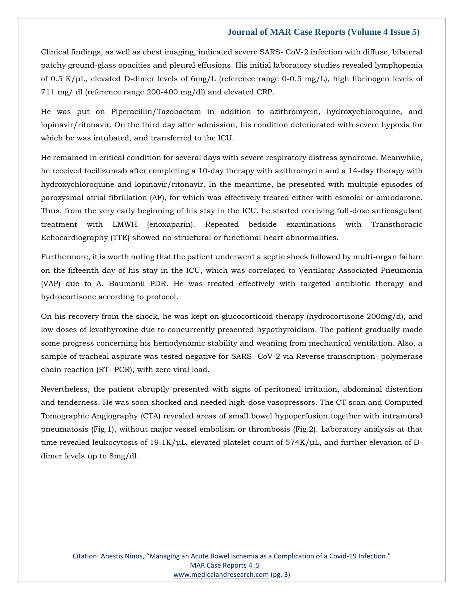Clinical findings, as well as chest imaging, indicated severe SARS- CoV-2 infection with diffuse, bilateral patchy ground-glass opacities and pleural effusions. His initial laboratory studies revealed lymphopenia of 0.5 K/μL, elevated D-dimer levels of 6mg/L (reference range 0-0.5 mg/L), high fibrinogen levels of 711 mg/ dl (reference range 200-400 mg/dl) and elevated CRP.

He was put on Piperacillin/Tazobactam in addition to azithromycin, hydroxychloroquine, and lopinavir/ritonavir. On the third day after admission, his condition deteriorated with severe hypoxia for which he was intubated, and transferred to the ICU.

He remained in critical condition for several days with severe respiratory distress syndrome. Meanwhile, he received tocilizumab after completing a 10-day therapy with azithromycin and a 14-day therapy with hydroxychloroquine and lopinavir/ritonavir. In the meantime, he presented with multiple episodes of paroxysmal atrial fibrillation (AF), for which was effectively treated either with esmolol or amiodarone. Thus, from the very early beginning of his stay in the ICU, he started receiving full-dose anticoagulant treatment with LMWH (enoxaparin). Repeated bedside examinations with Transthoracic Εchocardiography (TTE) showed no structural or functional heart abnormalities.

Furthermore, it is worth noting that the patient underwent a septic shock followed by multi-organ failure on the fifteenth day of his stay in the ICU, which was correlated to Ventilator-Associated Pneumonia (VAP) due to A. Baumanii PDR. He was treated effectively with targeted antibiotic therapy and hydrocortisone according to protocol.

On his recovery from the shock, he was kept on glucocorticoid therapy (hydrocortisone 200mg/d), and low doses of levothyroxine due to concurrently presented hypothyroidism. The patient gradually made some progress concerning his hemodynamic stability and weaning from mechanical ventilation. Also, a sample of tracheal aspirate was tested negative for SARS -CoV-2 via Reverse transcription- polymerase chain reaction (RT- PCR), with zero viral load.

Nevertheless, the patient abruptly presented with signs of peritoneal irritation, abdominal distention and tenderness. He was soon shocked and needed high-dose vasopressors. The CT scan and Computed Tomographic Angiography (CTA) revealed areas of small bowel hypoperfusion together with intramural pneumatosis (Fig.1), without major vessel embolism or thrombosis (Fig.2). Laboratory analysis at that time revealed leukocytosis of 19.1K/μL, elevated platelet count of 574K/μL, and further elevation of Ddimer levels up to 8mg/dl.

Citation: Anestis Ninos, "Managing an Acute Bowel Ischemia as a Complication of a Covid-19 Infection." MAR Case Reports 4 .5 [www.medicalandresearch.com](http://www.medicalandresearch.com/) (pg. 3)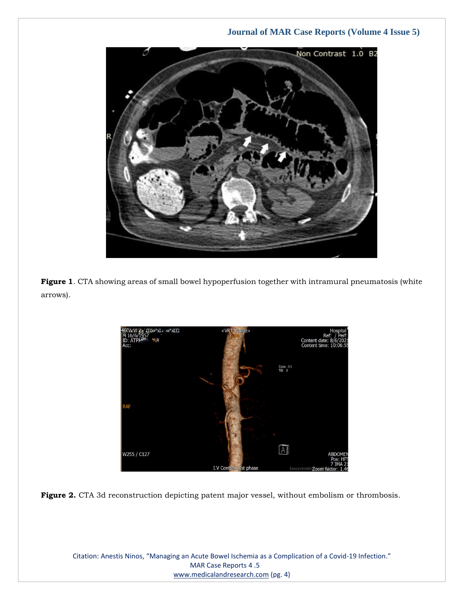

**Figure 1**. CTA showing areas of small bowel hypoperfusion together with intramural pneumatosis (white arrows).





Citation: Anestis Ninos, "Managing an Acute Bowel Ischemia as a Complication of a Covid-19 Infection." MAR Case Reports 4 .5 [www.medicalandresearch.com](http://www.medicalandresearch.com/) (pg. 4)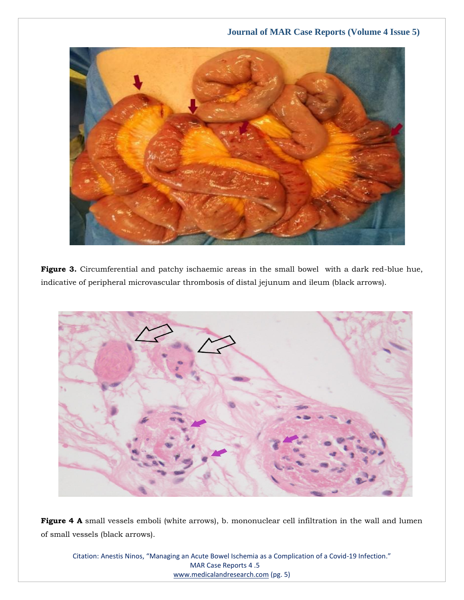

Figure 3. Circumferential and patchy ischaemic areas in the small bowel with a dark red-blue hue, indicative of peripheral microvascular thrombosis of distal jejunum and ileum (black arrows).



Figure 4 A small vessels emboli (white arrows), b. mononuclear cell infiltration in the wall and lumen of small vessels (black arrows).

Citation: Anestis Ninos, "Managing an Acute Bowel Ischemia as a Complication of a Covid-19 Infection." MAR Case Reports 4 .5 [www.medicalandresearch.com](http://www.medicalandresearch.com/) (pg. 5)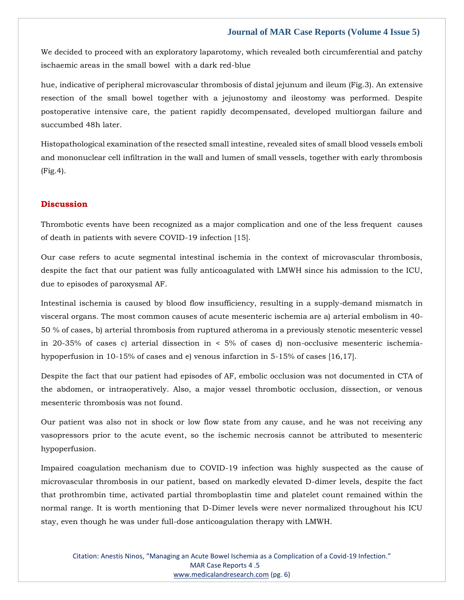We decided to proceed with an exploratory laparotomy, which revealed both circumferential and patchy ischaemic areas in the small bowel with a dark red-blue

hue, indicative of peripheral microvascular thrombosis of distal jejunum and ileum (Fig.3). An extensive resection of the small bowel together with a jejunostomy and ileostomy was performed. Despite postoperative intensive care, the patient rapidly decompensated, developed multiorgan failure and succumbed 48h later.

Histopathological examination of the resected small intestine, revealed sites of small blood vessels emboli and mononuclear cell infiltration in the wall and lumen of small vessels, together with early thrombosis (Fig.4).

# **Discussion**

Thrombotic events have been recognized as a major complication and one of the less frequent causes of death in patients with severe COVID-19 infection [15].

Our case refers to acute segmental intestinal ischemia in the context of microvascular thrombosis, despite the fact that our patient was fully anticoagulated with LMWH since his admission to the ICU, due to episodes of paroxysmal AF.

Intestinal ischemia is caused by blood flow insufficiency, resulting in a supply-demand mismatch in visceral organs. The most common causes of acute mesenteric ischemia are a) arterial embolism in 40- 50 % of cases, b) arterial thrombosis from ruptured atheroma in a previously stenotic mesenteric vessel in 20-35% of cases c) arterial dissection in < 5% of cases d) non-occlusive mesenteric ischemiahypoperfusion in 10-15% of cases and e) venous infarction in 5-15% of cases [16,17].

Despite the fact that our patient had episodes of AF, embolic occlusion was not documented in CTA of the abdomen, or intraoperatively. Also, a major vessel thrombotic occlusion, dissection, or venous mesenteric thrombosis was not found.

Οur patient was also not in shock or low flow state from any cause, and he was not receiving any vasopressors prior to the acute event, so the ischemic necrosis cannot be attributed to mesenteric hypoperfusion.

Impaired coagulation mechanism due to COVID-19 infection was highly suspected as the cause of microvascular thrombosis in our patient, based on markedly elevated D-dimer levels, despite the fact that prothrombin time, activated partial thromboplastin time and platelet count remained within the normal range. It is worth mentioning that D-Dimer levels were never normalized throughout his ICU stay, even though he was under full-dose anticoagulation therapy with LMWH.

Citation: Anestis Ninos, "Managing an Acute Bowel Ischemia as a Complication of a Covid-19 Infection." MAR Case Reports 4 .5 [www.medicalandresearch.com](http://www.medicalandresearch.com/) (pg. 6)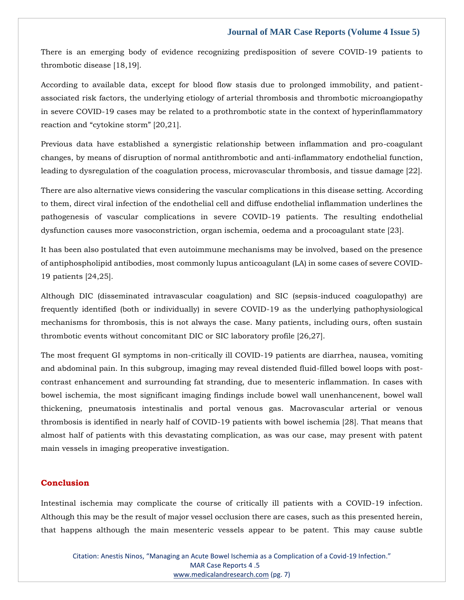There is an emerging body of evidence recognizing predisposition of severe COVID-19 patients to thrombotic disease [18,19].

According to available data, except for blood flow stasis due to prolonged immobility, and patientassociated risk factors, the underlying etiology of arterial thrombosis and thrombotic microangiopathy in severe COVID-19 cases may be related to a prothrombotic state in the context of hyperinflammatory reaction and "cytokine storm" [20,21].

Previous data have established a synergistic relationship between inflammation and pro-coagulant changes, by means of disruption of normal antithrombotic and anti-inflammatory endothelial function, leading to dysregulation of the coagulation process, microvascular thrombosis, and tissue damage [22].

There are also alternative views considering the vascular complications in this disease setting. According to them, direct viral infection of the endothelial cell and diffuse endothelial inflammation underlines the pathogenesis of vascular complications in severe COVID-19 patients. The resulting endothelial dysfunction causes more vasoconstriction, organ ischemia, oedema and a procoagulant state [23].

It has been also postulated that even autoimmune mechanisms may be involved, based on the presence of antiphospholipid antibodies, most commonly lupus anticoagulant (LA) in some cases of severe COVID-19 patients [24,25].

Although DIC (disseminated intravascular coagulation) and SIC (sepsis-induced coagulopathy) are frequently identified (both or individually) in severe COVID-19 as the underlying pathophysiological mechanisms for thrombosis, this is not always the case. Many patients, including ours, often sustain thrombotic events without concomitant DIC or SIC laboratory profile [26,27].

The most frequent GI symptoms in non-critically ill COVID-19 patients are diarrhea, nausea, vomiting and abdominal pain. In this subgroup, imaging may reveal distended fluid-filled bowel loops with postcontrast enhancement and surrounding fat stranding, due to mesenteric inflammation. In cases with bowel ischemia, the most significant imaging findings include bowel wall unenhancenent, bowel wall thickening, pneumatosis intestinalis and portal venous gas. Macrovascular arterial or venous thrombosis is identified in nearly half of COVID-19 patients with bowel ischemia [28]. That means that almost half of patients with this devastating complication, as was our case, may present with patent main vessels in imaging preoperative investigation.

# **Conclusion**

Intestinal ischemia may complicate the course of critically ill patients with a COVID-19 infection. Although this may be the result of major vessel occlusion there are cases, such as this presented herein, that happens although the main mesenteric vessels appear to be patent. This may cause subtle

Citation: Anestis Ninos, "Managing an Acute Bowel Ischemia as a Complication of a Covid-19 Infection." MAR Case Reports 4 .5 [www.medicalandresearch.com](http://www.medicalandresearch.com/) (pg. 7)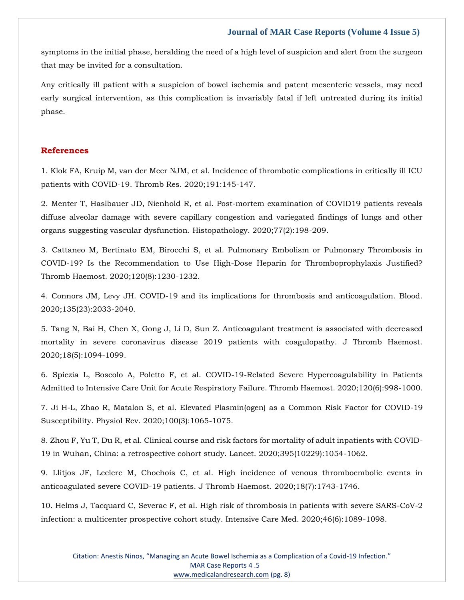symptoms in the initial phase, heralding the need of a high level of suspicion and alert from the surgeon that may be invited for a consultation.

Any critically ill patient with a suspicion of bowel ischemia and patent mesenteric vessels, may need early surgical intervention, as this complication is invariably fatal if left untreated during its initial phase.

# **References**

1. [Klok FA, Kruip M, van der Meer NJM, et al. Incidence of thrombotic complications in critically ill ICU](https://www.google.com/search?q=.+Incidence+of+thrombotic+complications+in+critically+ill+ICU+patients+with+COVID-19.&oq=.+Incidence+of+thrombotic+complications+in+critically+ill+ICU+patients+with+COVID-19.&aqs=chrome..69i57.537j0j7&sourceid=chrome&ie=UTF-8)  [patients with COVID-19. Thromb Res. 2020;191:145-147.](https://www.google.com/search?q=.+Incidence+of+thrombotic+complications+in+critically+ill+ICU+patients+with+COVID-19.&oq=.+Incidence+of+thrombotic+complications+in+critically+ill+ICU+patients+with+COVID-19.&aqs=chrome..69i57.537j0j7&sourceid=chrome&ie=UTF-8)

2. [Menter T, Haslbauer JD, Nienhold R, et al. Post-mortem examination of COVID19 patients reveals](https://www.google.com/search?q=Post-mortem+examination+of+COVID19+patients+reveals+diffuse+alveolar+damage+with+severe+capillary+congestion+and+variegated+findings+of+lungs+and+other+organs+suggesting+vascular+dysfunction&sxsrf=APq-WBu5IQDuJCnQRFVPYWTQmx5R7wqzBw%3A1647248018553&ei=kgIvYsOeIaSI4-EPwomumAQ&ved=0ahUKEwjDr4KIncX2AhUkxDgGHcKEC0MQ4dUDCA4&oq=Post-mortem+examination+of+COVID19+patients+reveals+diffuse+alveolar+damage+with+severe+capillary+congestion+and+variegated+findings+of+lungs+and+other+organs+suggesting+vascular+dysfunction&gs_lcp=Cgdnd3Mtd2l6EAwyBwgjEOoCECcyBwgjEOoCECcyBwgjEOoCECcyBwgjEOoCECcyBwgjEOoCECcyBwgjEOoCECcyBwgjEOoCECcyBwgjEOoCECcyBwgjEOoCECcyBwgjEOoCECdKBAhBGABKBAhGGABQ2gFY2gFgnQloAXAAeACAAQCIAQCSAQCYAQCgAQGgAQKwAQrAAQE&sclient=gws-wiz)  [diffuse alveolar damage with severe capillary congestion and variegated findings of lungs and other](https://www.google.com/search?q=Post-mortem+examination+of+COVID19+patients+reveals+diffuse+alveolar+damage+with+severe+capillary+congestion+and+variegated+findings+of+lungs+and+other+organs+suggesting+vascular+dysfunction&sxsrf=APq-WBu5IQDuJCnQRFVPYWTQmx5R7wqzBw%3A1647248018553&ei=kgIvYsOeIaSI4-EPwomumAQ&ved=0ahUKEwjDr4KIncX2AhUkxDgGHcKEC0MQ4dUDCA4&oq=Post-mortem+examination+of+COVID19+patients+reveals+diffuse+alveolar+damage+with+severe+capillary+congestion+and+variegated+findings+of+lungs+and+other+organs+suggesting+vascular+dysfunction&gs_lcp=Cgdnd3Mtd2l6EAwyBwgjEOoCECcyBwgjEOoCECcyBwgjEOoCECcyBwgjEOoCECcyBwgjEOoCECcyBwgjEOoCECcyBwgjEOoCECcyBwgjEOoCECcyBwgjEOoCECcyBwgjEOoCECdKBAhBGABKBAhGGABQ2gFY2gFgnQloAXAAeACAAQCIAQCSAQCYAQCgAQGgAQKwAQrAAQE&sclient=gws-wiz)  [organs suggesting vascular dysfunction. Histopathology. 2020;77\(2\):198-209.](https://www.google.com/search?q=Post-mortem+examination+of+COVID19+patients+reveals+diffuse+alveolar+damage+with+severe+capillary+congestion+and+variegated+findings+of+lungs+and+other+organs+suggesting+vascular+dysfunction&sxsrf=APq-WBu5IQDuJCnQRFVPYWTQmx5R7wqzBw%3A1647248018553&ei=kgIvYsOeIaSI4-EPwomumAQ&ved=0ahUKEwjDr4KIncX2AhUkxDgGHcKEC0MQ4dUDCA4&oq=Post-mortem+examination+of+COVID19+patients+reveals+diffuse+alveolar+damage+with+severe+capillary+congestion+and+variegated+findings+of+lungs+and+other+organs+suggesting+vascular+dysfunction&gs_lcp=Cgdnd3Mtd2l6EAwyBwgjEOoCECcyBwgjEOoCECcyBwgjEOoCECcyBwgjEOoCECcyBwgjEOoCECcyBwgjEOoCECcyBwgjEOoCECcyBwgjEOoCECcyBwgjEOoCECcyBwgjEOoCECdKBAhBGABKBAhGGABQ2gFY2gFgnQloAXAAeACAAQCIAQCSAQCYAQCgAQGgAQKwAQrAAQE&sclient=gws-wiz)

3. [Cattaneo M, Bertinato EM, Birocchi S, et al. Pulmonary Embolism or Pulmonary Thrombosis in](https://www.google.com/search?q=Pulmonary+Embolism+or+Pulmonary+Thrombosis+in+COVID-19%3F+Is+the+Recommendation+to+Use+High-Dose+Heparin+for+Thromboprophylaxis+Justified%3F+Thromb+Haemost.&sxsrf=APq-WBvdCAa-A30bZx945fO96L_Id_Iakg%3A1647248034049&ei=ogIvYqW2AvSN4-EP2aywiAY&ved=0ahUKEwilj7SPncX2AhX0xjgGHVkWDGEQ4dUDCA4&oq=Pulmonary+Embolism+or+Pulmonary+Thrombosis+in+COVID-19%3F+Is+the+Recommendation+to+Use+High-Dose+Heparin+for+Thromboprophylaxis+Justified%3F+Thromb+Haemost.&gs_lcp=Cgdnd3Mtd2l6EAwyBwgjEOoCECcyBwgjEOoCECcyBwgjEOoCECcyBwgjEOoCECcyBwgjEOoCECcyBwgjEOoCECcyBwgjEOoCECcyBwgjEOoCECcyBwgjEOoCECcyBwgjEOoCECdKBAhBGABKBAhGGABQ3ARY3ARglwhoAXAAeACAAQCIAQCSAQCYAQCgAQGgAQKwAQrAAQE&sclient=gws-wiz)  [COVID-19? Is the Recommendation to Use High-Dose Heparin for Thromboprophylaxis Justified?](https://www.google.com/search?q=Pulmonary+Embolism+or+Pulmonary+Thrombosis+in+COVID-19%3F+Is+the+Recommendation+to+Use+High-Dose+Heparin+for+Thromboprophylaxis+Justified%3F+Thromb+Haemost.&sxsrf=APq-WBvdCAa-A30bZx945fO96L_Id_Iakg%3A1647248034049&ei=ogIvYqW2AvSN4-EP2aywiAY&ved=0ahUKEwilj7SPncX2AhX0xjgGHVkWDGEQ4dUDCA4&oq=Pulmonary+Embolism+or+Pulmonary+Thrombosis+in+COVID-19%3F+Is+the+Recommendation+to+Use+High-Dose+Heparin+for+Thromboprophylaxis+Justified%3F+Thromb+Haemost.&gs_lcp=Cgdnd3Mtd2l6EAwyBwgjEOoCECcyBwgjEOoCECcyBwgjEOoCECcyBwgjEOoCECcyBwgjEOoCECcyBwgjEOoCECcyBwgjEOoCECcyBwgjEOoCECcyBwgjEOoCECcyBwgjEOoCECdKBAhBGABKBAhGGABQ3ARY3ARglwhoAXAAeACAAQCIAQCSAQCYAQCgAQGgAQKwAQrAAQE&sclient=gws-wiz) [Thromb Haemost. 2020;120\(8\):1230-1232.](https://www.google.com/search?q=Pulmonary+Embolism+or+Pulmonary+Thrombosis+in+COVID-19%3F+Is+the+Recommendation+to+Use+High-Dose+Heparin+for+Thromboprophylaxis+Justified%3F+Thromb+Haemost.&sxsrf=APq-WBvdCAa-A30bZx945fO96L_Id_Iakg%3A1647248034049&ei=ogIvYqW2AvSN4-EP2aywiAY&ved=0ahUKEwilj7SPncX2AhX0xjgGHVkWDGEQ4dUDCA4&oq=Pulmonary+Embolism+or+Pulmonary+Thrombosis+in+COVID-19%3F+Is+the+Recommendation+to+Use+High-Dose+Heparin+for+Thromboprophylaxis+Justified%3F+Thromb+Haemost.&gs_lcp=Cgdnd3Mtd2l6EAwyBwgjEOoCECcyBwgjEOoCECcyBwgjEOoCECcyBwgjEOoCECcyBwgjEOoCECcyBwgjEOoCECcyBwgjEOoCECcyBwgjEOoCECcyBwgjEOoCECcyBwgjEOoCECdKBAhBGABKBAhGGABQ3ARY3ARglwhoAXAAeACAAQCIAQCSAQCYAQCgAQGgAQKwAQrAAQE&sclient=gws-wiz)

4. [Connors JM, Levy JH. COVID-19 and its implications for thrombosis and anticoagulation. Blood.](https://www.google.com/search?q=COVID-19+and+its+implications+for+thrombosis+and+anticoagulation&sxsrf=APq-WBsi73Au7d7z2DdL5NSW6lD0InXbDw%3A1647248049578&ei=sQIvYqP5IonE4-EP4ZmaqAY&ved=0ahUKEwjjleiWncX2AhUJ4jgGHeGMBmUQ4dUDCA4&oq=COVID-19+and+its+implications+for+thrombosis+and+anticoagulation&gs_lcp=Cgdnd3Mtd2l6EAw6BwgjEOoCECdKBAhBGABKBAhGGABQ2wJY2wJgtwxoAXAAeACAAV6IAV6SAQExmAEAoAEBoAECsAEKwAEB&sclient=gws-wiz)  [2020;135\(23\):2033-2040.](https://www.google.com/search?q=COVID-19+and+its+implications+for+thrombosis+and+anticoagulation&sxsrf=APq-WBsi73Au7d7z2DdL5NSW6lD0InXbDw%3A1647248049578&ei=sQIvYqP5IonE4-EP4ZmaqAY&ved=0ahUKEwjjleiWncX2AhUJ4jgGHeGMBmUQ4dUDCA4&oq=COVID-19+and+its+implications+for+thrombosis+and+anticoagulation&gs_lcp=Cgdnd3Mtd2l6EAw6BwgjEOoCECdKBAhBGABKBAhGGABQ2wJY2wJgtwxoAXAAeACAAV6IAV6SAQExmAEAoAEBoAECsAEKwAEB&sclient=gws-wiz)

5. [Tang N, Bai H, Chen X, Gong J, Li D, Sun Z. Anticoagulant treatment is associated with decreased](https://www.google.com/search?q=Anticoagulant+treatment+is+associated+with+decreased+mortality+in+severe+coronavirus+disease+2019+patients+with+coagulopathy&sxsrf=APq-WBvdae7fIfCJh7dVq8JCVIId8aYwdg%3A1647248064567&ei=wAIvYuebItqe4-EP_cW4kAE&ved=0ahUKEwjn-_qdncX2AhVazzgGHf0iDhIQ4dUDCA4&oq=Anticoagulant+treatment+is+associated+with+decreased+mortality+in+severe+coronavirus+disease+2019+patients+with+coagulopathy&gs_lcp=Cgdnd3Mtd2l6EAwyBwgjEOoCECcyBwgjEOoCECcyBwgjEOoCECcyBwgjEOoCECcyBwgjEOoCECcyBwgjEOoCECcyBwgjEOoCECcyBwgjEOoCECcyBwgjEOoCECcyBwgjEOoCECdKBAhBGABKBAhGGABQnQJYnQJg4AdoAXABeACAAQCIAQCSAQCYAQCgAQGgAQKwAQrAAQE&sclient=gws-wiz)  [mortality in severe coronavirus disease 2019 patients with coagulopathy. J Thromb Haemost.](https://www.google.com/search?q=Anticoagulant+treatment+is+associated+with+decreased+mortality+in+severe+coronavirus+disease+2019+patients+with+coagulopathy&sxsrf=APq-WBvdae7fIfCJh7dVq8JCVIId8aYwdg%3A1647248064567&ei=wAIvYuebItqe4-EP_cW4kAE&ved=0ahUKEwjn-_qdncX2AhVazzgGHf0iDhIQ4dUDCA4&oq=Anticoagulant+treatment+is+associated+with+decreased+mortality+in+severe+coronavirus+disease+2019+patients+with+coagulopathy&gs_lcp=Cgdnd3Mtd2l6EAwyBwgjEOoCECcyBwgjEOoCECcyBwgjEOoCECcyBwgjEOoCECcyBwgjEOoCECcyBwgjEOoCECcyBwgjEOoCECcyBwgjEOoCECcyBwgjEOoCECcyBwgjEOoCECdKBAhBGABKBAhGGABQnQJYnQJg4AdoAXABeACAAQCIAQCSAQCYAQCgAQGgAQKwAQrAAQE&sclient=gws-wiz)  [2020;18\(5\):1094-1099.](https://www.google.com/search?q=Anticoagulant+treatment+is+associated+with+decreased+mortality+in+severe+coronavirus+disease+2019+patients+with+coagulopathy&sxsrf=APq-WBvdae7fIfCJh7dVq8JCVIId8aYwdg%3A1647248064567&ei=wAIvYuebItqe4-EP_cW4kAE&ved=0ahUKEwjn-_qdncX2AhVazzgGHf0iDhIQ4dUDCA4&oq=Anticoagulant+treatment+is+associated+with+decreased+mortality+in+severe+coronavirus+disease+2019+patients+with+coagulopathy&gs_lcp=Cgdnd3Mtd2l6EAwyBwgjEOoCECcyBwgjEOoCECcyBwgjEOoCECcyBwgjEOoCECcyBwgjEOoCECcyBwgjEOoCECcyBwgjEOoCECcyBwgjEOoCECcyBwgjEOoCECcyBwgjEOoCECdKBAhBGABKBAhGGABQnQJYnQJg4AdoAXABeACAAQCIAQCSAQCYAQCgAQGgAQKwAQrAAQE&sclient=gws-wiz)

6. [Spiezia L, Boscolo A, Poletto F, et al. COVID-19-Related Severe Hypercoagulability in Patients](https://www.google.com/search?q=COVID-19-Related+Severe+Hypercoagulability+in+Patients+Admitted+to+Intensive+Care+Unit+for+Acute+Respiratory+Failure.+&sxsrf=APq-WBt6hCi3BdNPhuKTMEW5mdpMRmOSSA%3A1647248081939&ei=0QIvYrf1OLmG4-EPoZWMwA0&ved=0ahUKEwj3oZ-mncX2AhU5wzgGHaEKA9gQ4dUDCA4&oq=COVID-19-Related+Severe+Hypercoagulability+in+Patients+Admitted+to+Intensive+Care+Unit+for+Acute+Respiratory+Failure.+&gs_lcp=Cgdnd3Mtd2l6EAwyBwgjEOoCECcyBwgjEOoCECcyBwgjEOoCECcyBwgjEOoCECcyBwgjEOoCECcyBwgjEOoCECcyBwgjEOoCECcyBwgjEOoCECcyBwgjEOoCECcyBwgjEOoCECdKBAhBGABKBAhGGABQ7gJY7gJgqwdoAXABeACAAQCIAQCSAQCYAQCgAQGgAQKwAQrAAQE&sclient=gws-wiz)  [Admitted to Intensive Care Unit for Acute Respiratory Failure. Thromb Haemost. 2020;120\(6\):998-1000.](https://www.google.com/search?q=COVID-19-Related+Severe+Hypercoagulability+in+Patients+Admitted+to+Intensive+Care+Unit+for+Acute+Respiratory+Failure.+&sxsrf=APq-WBt6hCi3BdNPhuKTMEW5mdpMRmOSSA%3A1647248081939&ei=0QIvYrf1OLmG4-EPoZWMwA0&ved=0ahUKEwj3oZ-mncX2AhU5wzgGHaEKA9gQ4dUDCA4&oq=COVID-19-Related+Severe+Hypercoagulability+in+Patients+Admitted+to+Intensive+Care+Unit+for+Acute+Respiratory+Failure.+&gs_lcp=Cgdnd3Mtd2l6EAwyBwgjEOoCECcyBwgjEOoCECcyBwgjEOoCECcyBwgjEOoCECcyBwgjEOoCECcyBwgjEOoCECcyBwgjEOoCECcyBwgjEOoCECcyBwgjEOoCECcyBwgjEOoCECdKBAhBGABKBAhGGABQ7gJY7gJgqwdoAXABeACAAQCIAQCSAQCYAQCgAQGgAQKwAQrAAQE&sclient=gws-wiz)

7. [Ji H-L, Zhao R, Matalon S, et al. Elevated Plasmin\(ogen\) as a Common Risk Factor for COVID-19](https://www.google.com/search?q=Elevated+Plasmin%28ogen%29+as+a+Common+Risk+Factor+for+COVID-19+Susceptibility&sxsrf=APq-WBtB20-d32jij9UStNxwPFB2gmwpXg%3A1647248094391&ei=3gIvYsW1F_aY4-EPopuywA4&ved=0ahUKEwjFnJesncX2AhV2zDgGHaKNDOgQ4dUDCA4&oq=Elevated+Plasmin%28ogen%29+as+a+Common+Risk+Factor+for+COVID-19+Susceptibility&gs_lcp=Cgdnd3Mtd2l6EAwyBwgjEOoCECcyBwgjEOoCECcyBwgjEOoCECcyBwgjEOoCECcyBwgjEOoCECcyBwgjEOoCECcyBwgjEOoCECcyBwgjEOoCECcyBwgjEOoCECcyBwgjEOoCECdKBAhBGABKBAhGGABQ5gNY5gNgkQdoAXAAeACAAQCIAQCSAQCYAQCgAQGgAQKwAQrAAQE&sclient=gws-wiz)  [Susceptibility. Physiol Rev. 2020;100\(3\):1065-1075.](https://www.google.com/search?q=Elevated+Plasmin%28ogen%29+as+a+Common+Risk+Factor+for+COVID-19+Susceptibility&sxsrf=APq-WBtB20-d32jij9UStNxwPFB2gmwpXg%3A1647248094391&ei=3gIvYsW1F_aY4-EPopuywA4&ved=0ahUKEwjFnJesncX2AhV2zDgGHaKNDOgQ4dUDCA4&oq=Elevated+Plasmin%28ogen%29+as+a+Common+Risk+Factor+for+COVID-19+Susceptibility&gs_lcp=Cgdnd3Mtd2l6EAwyBwgjEOoCECcyBwgjEOoCECcyBwgjEOoCECcyBwgjEOoCECcyBwgjEOoCECcyBwgjEOoCECcyBwgjEOoCECcyBwgjEOoCECcyBwgjEOoCECcyBwgjEOoCECdKBAhBGABKBAhGGABQ5gNY5gNgkQdoAXAAeACAAQCIAQCSAQCYAQCgAQGgAQKwAQrAAQE&sclient=gws-wiz)

8. [Zhou F, Yu T, Du R, et al. Clinical course and risk factors for mortality of adult inpatients with COVID-](https://www.google.com/search?q=Clinical+course+and+risk+factors+for+mortality+of+adult+inpatients+with+COVID-19+in+Wuhan%2C+China%3A+a+retrospective+cohort+study&sxsrf=APq-WBvuOFgjbKZipPC7LKfoJbbOO2cjoA%3A1647248110145&ei=7gIvYv26COTH4-EPnZK2mAM&ved=0ahUKEwj96dizncX2AhXk4zgGHR2JDTMQ4dUDCA4&oq=Clinical+course+and+risk+factors+for+mortality+of+adult+inpatients+with+COVID-19+in+Wuhan%2C+China%3A+a+retrospective+cohort+study&gs_lcp=Cgdnd3Mtd2l6EAwyBwgjEOoCECcyBwgjEOoCECcyBwgjEOoCECcyBwgjEOoCECcyBwgjEOoCECcyBwgjEOoCECcyBwgjEOoCECcyBwgjEOoCECcyBwgjEOoCECcyBwgjEOoCECdKBAhBGABKBAhGGABQ5gFY5gFgnAhoAXABeACAAQCIAQCSAQCYAQCgAQGgAQKwAQrAAQE&sclient=gws-wiz)[19 in Wuhan, China: a retrospective cohort study. Lancet. 2020;395\(10229\):1054-1062.](https://www.google.com/search?q=Clinical+course+and+risk+factors+for+mortality+of+adult+inpatients+with+COVID-19+in+Wuhan%2C+China%3A+a+retrospective+cohort+study&sxsrf=APq-WBvuOFgjbKZipPC7LKfoJbbOO2cjoA%3A1647248110145&ei=7gIvYv26COTH4-EPnZK2mAM&ved=0ahUKEwj96dizncX2AhXk4zgGHR2JDTMQ4dUDCA4&oq=Clinical+course+and+risk+factors+for+mortality+of+adult+inpatients+with+COVID-19+in+Wuhan%2C+China%3A+a+retrospective+cohort+study&gs_lcp=Cgdnd3Mtd2l6EAwyBwgjEOoCECcyBwgjEOoCECcyBwgjEOoCECcyBwgjEOoCECcyBwgjEOoCECcyBwgjEOoCECcyBwgjEOoCECcyBwgjEOoCECcyBwgjEOoCECcyBwgjEOoCECdKBAhBGABKBAhGGABQ5gFY5gFgnAhoAXABeACAAQCIAQCSAQCYAQCgAQGgAQKwAQrAAQE&sclient=gws-wiz)

9. [Llitjos JF, Leclerc M, Chochois C, et al. High incidence of venous thromboembolic events in](https://www.google.com/search?q=High+incidence+of+venous+thromboembolic+events+in+anticoagulated+severe+COVID-19+patients&sxsrf=APq-WBvw07eTM7aArT6dmJ2cmotDb5H2Mw%3A1647248123148&ei=-wIvYp3SCNOd4-EPy7iEiAM&ved=0ahUKEwjdu_K5ncX2AhXTzjgGHUscATEQ4dUDCA4&oq=High+incidence+of+venous+thromboembolic+events+in+anticoagulated+severe+COVID-19+patients&gs_lcp=Cgdnd3Mtd2l6EAw6BwgjEOoCECdKBAhBGABKBAhGGABKBAhBGABKBAhGGABQ1Q9Y1Q9gxRdoA3AAeACAAV2IAV2SAQExmAEAoAEBoAECsAEKwAEB&sclient=gws-wiz)  anticoagulated [severe COVID-19 patients. J Thromb Haemost. 2020;18\(7\):1743-1746.](https://www.google.com/search?q=High+incidence+of+venous+thromboembolic+events+in+anticoagulated+severe+COVID-19+patients&sxsrf=APq-WBvw07eTM7aArT6dmJ2cmotDb5H2Mw%3A1647248123148&ei=-wIvYp3SCNOd4-EPy7iEiAM&ved=0ahUKEwjdu_K5ncX2AhXTzjgGHUscATEQ4dUDCA4&oq=High+incidence+of+venous+thromboembolic+events+in+anticoagulated+severe+COVID-19+patients&gs_lcp=Cgdnd3Mtd2l6EAw6BwgjEOoCECdKBAhBGABKBAhGGABKBAhBGABKBAhGGABQ1Q9Y1Q9gxRdoA3AAeACAAV2IAV2SAQExmAEAoAEBoAECsAEKwAEB&sclient=gws-wiz)

10. [Helms J, Tacquard C, Severac F, et al. High risk of thrombosis in patients with severe SARS-CoV-2](https://www.google.com/search?q=High+risk+of+thrombosis+in+patients+with+severe+SARS-CoV-2+infection%3A+a+multicenter+prospective+cohort+study&sxsrf=APq-WBvZRdvnyIPdFYcLPff7ctL_GWqFZQ%3A1647248137871&ei=CQMvYvLgNNiO4-EP88CCmA8&ved=0ahUKEwiyifXAncX2AhVYxzgGHXOgAPMQ4dUDCA4&oq=High+risk+of+thrombosis+in+patients+with+severe+SARS-CoV-2+infection%3A+a+multicenter+prospective+cohort+study&gs_lcp=Cgdnd3Mtd2l6EAwyBwgjEOoCECcyBwgjEOoCECcyBwgjEOoCECcyBwgjEOoCECcyBwgjEOoCECcyBwgjEOoCECcyBwgjEOoCECcyBwgjEOoCECcyBwgjEOoCECcyBwgjEOoCECdKBAhBGABKBAhGGABQzARYzARg-ApoAXAAeACAAQCIAQCSAQCYAQCgAQGgAQKwAQrAAQE&sclient=gws-wiz)  [infection: a multicenter prospective cohort study. Intensive Care Med. 2020;46\(6\):1089-1098.](https://www.google.com/search?q=High+risk+of+thrombosis+in+patients+with+severe+SARS-CoV-2+infection%3A+a+multicenter+prospective+cohort+study&sxsrf=APq-WBvZRdvnyIPdFYcLPff7ctL_GWqFZQ%3A1647248137871&ei=CQMvYvLgNNiO4-EP88CCmA8&ved=0ahUKEwiyifXAncX2AhVYxzgGHXOgAPMQ4dUDCA4&oq=High+risk+of+thrombosis+in+patients+with+severe+SARS-CoV-2+infection%3A+a+multicenter+prospective+cohort+study&gs_lcp=Cgdnd3Mtd2l6EAwyBwgjEOoCECcyBwgjEOoCECcyBwgjEOoCECcyBwgjEOoCECcyBwgjEOoCECcyBwgjEOoCECcyBwgjEOoCECcyBwgjEOoCECcyBwgjEOoCECcyBwgjEOoCECdKBAhBGABKBAhGGABQzARYzARg-ApoAXAAeACAAQCIAQCSAQCYAQCgAQGgAQKwAQrAAQE&sclient=gws-wiz)

Citation: Anestis Ninos, "Managing an Acute Bowel Ischemia as a Complication of a Covid-19 Infection." MAR Case Reports 4 .5 [www.medicalandresearch.com](http://www.medicalandresearch.com/) (pg. 8)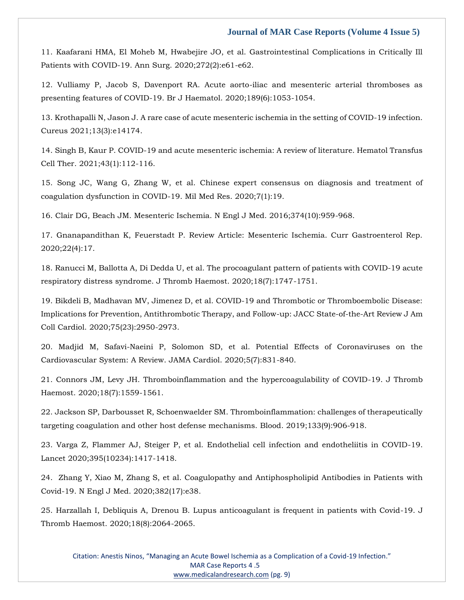11. [Kaafarani HMA, El Moheb M, Hwabejire JO, et al. Gastrointestinal Complications in Critically Ill](https://www.google.com/search?q=Gastrointestinal+Complications+in+Critically+Ill+Patients+with+COVID-19&sxsrf=APq-WBtqUyYzDURuaEpEXEx6BOgzXz3YKA%3A1647248155933&ei=GwMvYvqKOPei4-EPvPS48Ac&ved=0ahUKEwi6hMPJncX2AhV30TgGHTw6Dn4Q4dUDCA4&oq=Gastrointestinal+Complications+in+Critically+Ill+Patients+with+COVID-19&gs_lcp=Cgdnd3Mtd2l6EAwyBQgAEIAEMgYIABAWEB46CggjEK4CELADECc6BwgjEOoCECdKBAhBGAFKBAhGGABQkwlYkwlg1QxoAnAAeACAAWuIAWuSAQMwLjGYAQCgAQGgAQKwAQrIAQHAAQE&sclient=gws-wiz)  [Patients with COVID-19. Ann Surg. 2020;272\(2\):e61-e62.](https://www.google.com/search?q=Gastrointestinal+Complications+in+Critically+Ill+Patients+with+COVID-19&sxsrf=APq-WBtqUyYzDURuaEpEXEx6BOgzXz3YKA%3A1647248155933&ei=GwMvYvqKOPei4-EPvPS48Ac&ved=0ahUKEwi6hMPJncX2AhV30TgGHTw6Dn4Q4dUDCA4&oq=Gastrointestinal+Complications+in+Critically+Ill+Patients+with+COVID-19&gs_lcp=Cgdnd3Mtd2l6EAwyBQgAEIAEMgYIABAWEB46CggjEK4CELADECc6BwgjEOoCECdKBAhBGAFKBAhGGABQkwlYkwlg1QxoAnAAeACAAWuIAWuSAQMwLjGYAQCgAQGgAQKwAQrIAQHAAQE&sclient=gws-wiz)

12. [Vulliamy P, Jacob S, Davenport RA. Acute aorto-iliac and mesenteric arterial thromboses as](https://www.google.com/search?q=.+Acute+aorto-iliac+and+mesenteric+arterial+thromboses+as+presenting+features+of+COVID-19&sxsrf=APq-WBvH1jOpj8pZl2izmeWF6buBrvxvyQ%3A1647248172951&ei=LAMvYsWtOdCO4-EPiYyY2AY&ved=0ahUKEwjF89HRncX2AhVQxzgGHQkGBmsQ4dUDCA4&oq=.+Acute+aorto-iliac+and+mesenteric+arterial+thromboses+as+presenting+features+of+COVID-19&gs_lcp=Cgdnd3Mtd2l6EAwyBggAEAoQHjoHCCMQ6gIQJ0oECEEYAEoECEYYAFCjAlijAmCPB2gBcAF4AIABaogBapIBAzAuMZgBAKABAaABArABCsABAQ&sclient=gws-wiz) [presenting features of COVID-19. Br J Haematol. 2020;189\(6\):1053-1054.](https://www.google.com/search?q=.+Acute+aorto-iliac+and+mesenteric+arterial+thromboses+as+presenting+features+of+COVID-19&sxsrf=APq-WBvH1jOpj8pZl2izmeWF6buBrvxvyQ%3A1647248172951&ei=LAMvYsWtOdCO4-EPiYyY2AY&ved=0ahUKEwjF89HRncX2AhVQxzgGHQkGBmsQ4dUDCA4&oq=.+Acute+aorto-iliac+and+mesenteric+arterial+thromboses+as+presenting+features+of+COVID-19&gs_lcp=Cgdnd3Mtd2l6EAwyBggAEAoQHjoHCCMQ6gIQJ0oECEEYAEoECEYYAFCjAlijAmCPB2gBcAF4AIABaogBapIBAzAuMZgBAKABAaABArABCsABAQ&sclient=gws-wiz)

13. [Krothapalli N, Jason J. A rare case of acute mesenteric ischemia in the setting of COVID-19 infection.](https://www.google.com/search?q=A+rare+case+of+acute+mesenteric+ischemia+in+the+setting+of+COVID-19+infection&sxsrf=APq-WBsXzTmPJFY4ZCPBLG574n2zmBKQkQ%3A1647248186820&ei=OgMvYsLXMcmN4-EPnKGX4AQ&ved=0ahUKEwjC3KDYncX2AhXJxjgGHZzQBUwQ4dUDCA4&oq=A+rare+case+of+acute+mesenteric+ischemia+in+the+setting+of+COVID-19+infection&gs_lcp=Cgdnd3Mtd2l6EAw6BwgjEOoCECdKBAhBGABKBAhGGABQswRYswRg3gloAXAAeACAAb8DiAG_A5IBAzQtMZgBAKABAaABArABCsABAQ&sclient=gws-wiz)  [Cureus 2021;13\(3\):e14174.](https://www.google.com/search?q=A+rare+case+of+acute+mesenteric+ischemia+in+the+setting+of+COVID-19+infection&sxsrf=APq-WBsXzTmPJFY4ZCPBLG574n2zmBKQkQ%3A1647248186820&ei=OgMvYsLXMcmN4-EPnKGX4AQ&ved=0ahUKEwjC3KDYncX2AhXJxjgGHZzQBUwQ4dUDCA4&oq=A+rare+case+of+acute+mesenteric+ischemia+in+the+setting+of+COVID-19+infection&gs_lcp=Cgdnd3Mtd2l6EAw6BwgjEOoCECdKBAhBGABKBAhGGABQswRYswRg3gloAXAAeACAAb8DiAG_A5IBAzQtMZgBAKABAaABArABCsABAQ&sclient=gws-wiz)

14. [Singh B, Kaur P. COVID-19 and acute mesenteric ischemia: A review of literature. Hematol Transfus](https://www.google.com/search?q=COVID-19+and+acute+mesenteric+ischemia%3A+A+review+of+literature&sxsrf=APq-WBttHmDg8vx94bSw2OZ2mnHgDFYA0Q%3A1647248200592&ei=SAMvYoznI5aZ4-EP0qG_sAc&ved=0ahUKEwiMq-nencX2AhWWzDgGHdLQD3YQ4dUDCA4&oq=COVID-19+and+acute+mesenteric+ischemia%3A+A+review+of+literature&gs_lcp=Cgdnd3Mtd2l6EAw6BwgjEOoCECdKBAhBGABKBAhGGABQ4wJY4wJg2wZoAXAAeACAAYcBiAGHAZIBAzAuMZgBAKABAaABArABCsABAQ&sclient=gws-wiz)  [Cell Ther. 2021;43\(1\):112-116.](https://www.google.com/search?q=COVID-19+and+acute+mesenteric+ischemia%3A+A+review+of+literature&sxsrf=APq-WBttHmDg8vx94bSw2OZ2mnHgDFYA0Q%3A1647248200592&ei=SAMvYoznI5aZ4-EP0qG_sAc&ved=0ahUKEwiMq-nencX2AhWWzDgGHdLQD3YQ4dUDCA4&oq=COVID-19+and+acute+mesenteric+ischemia%3A+A+review+of+literature&gs_lcp=Cgdnd3Mtd2l6EAw6BwgjEOoCECdKBAhBGABKBAhGGABQ4wJY4wJg2wZoAXAAeACAAYcBiAGHAZIBAzAuMZgBAKABAaABArABCsABAQ&sclient=gws-wiz)

15. [Song JC, Wang G, Zhang W, et al. Chinese expert consensus on diagnosis and treatment of](https://www.google.com/search?q=Chinese+expert+consensus+on+diagnosis+and+treatment+of+coagulation+dysfunction+in+COVID-19&sxsrf=APq-WBvgA82ugebmp2-AkMKFB_-AJvwaKA%3A1647248214332&ei=VgMvYvLwE9vE4-EPpquToAg&ved=0ahUKEwjy86_lncX2AhVb4jgGHabVBIQQ4dUDCA4&oq=Chinese+expert+consensus+on+diagnosis+and+treatment+of+coagulation+dysfunction+in+COVID-19&gs_lcp=Cgdnd3Mtd2l6EAw6BwgjEOoCECdKBAhBGABKBAhGGABQ2gRY2gRgzAhoAXABeACAAWaIAWaSAQMwLjGYAQCgAQGgAQKwAQrAAQE&sclient=gws-wiz)  [coagulation dysfunction in COVID-19. Mil Med Res. 2020;7\(1\):19.](https://www.google.com/search?q=Chinese+expert+consensus+on+diagnosis+and+treatment+of+coagulation+dysfunction+in+COVID-19&sxsrf=APq-WBvgA82ugebmp2-AkMKFB_-AJvwaKA%3A1647248214332&ei=VgMvYvLwE9vE4-EPpquToAg&ved=0ahUKEwjy86_lncX2AhVb4jgGHabVBIQQ4dUDCA4&oq=Chinese+expert+consensus+on+diagnosis+and+treatment+of+coagulation+dysfunction+in+COVID-19&gs_lcp=Cgdnd3Mtd2l6EAw6BwgjEOoCECdKBAhBGABKBAhGGABQ2gRY2gRgzAhoAXABeACAAWaIAWaSAQMwLjGYAQCgAQGgAQKwAQrAAQE&sclient=gws-wiz)

16. [Clair DG, Beach JM. Mesenteric Ischemia. N Engl J Med. 2016;374\(10\):959-968.](https://www.google.com/search?q=Mesenteric+Ischemia&sxsrf=APq-WBsQGjHJ46E65PMAGUJMUnt_aklRjg%3A1647248227825&ei=YwMvYuv6MYWM4-EP_MuEQA&ved=0ahUKEwiruOfrncX2AhUFxjgGHfwlAQgQ4dUDCA4&oq=Mesenteric+Ischemia&gs_lcp=Cgdnd3Mtd2l6EAwyBAgAEEMyBwgAELEDEEMyBQgAEIAEMgoIABCABBCHAhAUMgQIABBDMgUIABCABDIFCAAQgAQyBQgAEIAEMgUIABCABDIFCAAQgAQ6BwgjEOoCECdKBAhBGABKBAhGGABQ3gJY3gJgkQZoAXAAeACAAV6IAV6SAQExmAEAoAEBoAECsAEKwAEB&sclient=gws-wiz)

17. [Gnanapandithan K, Feuerstadt P. Review Article: Mesenteric Ischemia. Curr Gastroenterol Rep.](https://www.google.com/search?q=Review+Article%3A+Mesenteric+Ischemia&sxsrf=APq-WBui3tfAcyhSGpjyYXtovm9n6P5TmQ%3A1647248240307&ei=cAMvYvuuEsHH4-EPqvGIiAg&ved=0ahUKEwj7puHxncX2AhXB4zgGHao4AoEQ4dUDCA4&oq=Review+Article%3A+Mesenteric+Ischemia&gs_lcp=Cgdnd3Mtd2l6EAwyBggAEBYQHjoHCCMQ6gIQJ0oECEEYAEoECEYYAFDrAljrAmD-BWgBcAF4AIABZ4gBZ5IBAzAuMZgBAKABAaABArABCsABAQ&sclient=gws-wiz)  [2020;22\(4\):17.](https://www.google.com/search?q=Review+Article%3A+Mesenteric+Ischemia&sxsrf=APq-WBui3tfAcyhSGpjyYXtovm9n6P5TmQ%3A1647248240307&ei=cAMvYvuuEsHH4-EPqvGIiAg&ved=0ahUKEwj7puHxncX2AhXB4zgGHao4AoEQ4dUDCA4&oq=Review+Article%3A+Mesenteric+Ischemia&gs_lcp=Cgdnd3Mtd2l6EAwyBggAEBYQHjoHCCMQ6gIQJ0oECEEYAEoECEYYAFDrAljrAmD-BWgBcAF4AIABZ4gBZ5IBAzAuMZgBAKABAaABArABCsABAQ&sclient=gws-wiz)

18. [Ranucci M, Ballotta A, Di Dedda U, et al. The procoagulant pattern of patients with COVID-19 acute](https://www.google.com/search?q=The+procoagulant+pattern+of+patients+with+COVID-19+acute+respiratory+distress+syndrome.+&sxsrf=APq-WBv91uhBdXcyjcF5pp3LjoAEB5Snrg%3A1647248253953&ei=fQMvYvjWOfaL4-EPpfeGqAU&ved=0ahUKEwi4iaL4ncX2AhX2xTgGHaW7AVUQ4dUDCA4&oq=The+procoagulant+pattern+of+patients+with+COVID-19+acute+respiratory+distress+syndrome.+&gs_lcp=Cgdnd3Mtd2l6EAwyBAgAEB46BwgjEOoCECdKBAhBGABKBAhGGABQlAJYlAJg5wVoAXABeACAAWSIAWSSAQMwLjGYAQCgAQGgAQKwAQrAAQE&sclient=gws-wiz)  [respiratory distress syndrome. J Thromb Haemost. 2020;18\(7\):1747-1751.](https://www.google.com/search?q=The+procoagulant+pattern+of+patients+with+COVID-19+acute+respiratory+distress+syndrome.+&sxsrf=APq-WBv91uhBdXcyjcF5pp3LjoAEB5Snrg%3A1647248253953&ei=fQMvYvjWOfaL4-EPpfeGqAU&ved=0ahUKEwi4iaL4ncX2AhX2xTgGHaW7AVUQ4dUDCA4&oq=The+procoagulant+pattern+of+patients+with+COVID-19+acute+respiratory+distress+syndrome.+&gs_lcp=Cgdnd3Mtd2l6EAwyBAgAEB46BwgjEOoCECdKBAhBGABKBAhGGABQlAJYlAJg5wVoAXABeACAAWSIAWSSAQMwLjGYAQCgAQGgAQKwAQrAAQE&sclient=gws-wiz)

19. [Bikdeli B, Madhavan MV, Jimenez D, et al. COVID-19 and Thrombotic or Thromboembolic Disease:](https://www.google.com/search?q=COVID-19+and+Thrombotic+or+Thromboembolic+Disease%3A+Implications+for+Prevention%2C+Antithrombotic+Therapy%2C+and+Follow-up%3A+JACC+State-of-the-Art+Review+&sxsrf=APq-WBvRrS2dkyAsjGse4gqUXPUAKoykDQ%3A1647248266751&ei=igMvYoHGLbWD4-EPzuy7YA&ved=0ahUKEwiBs6_-ncX2AhW1wTgGHU72DgwQ4dUDCA4&oq=COVID-19+and+Thrombotic+or+Thromboembolic+Disease%3A+Implications+for+Prevention%2C+Antithrombotic+Therapy%2C+and+Follow-up%3A+JACC+State-of-the-Art+Review+&gs_lcp=Cgdnd3Mtd2l6EAwyBwgjEOoCECcyBwgjEOoCECcyBwgjEOoCECcyBwgjEOoCECcyBwgjEOoCECcyBwgjEOoCECcyBwgjEOoCECcyBwgjEOoCECcyBwgjEOoCECcyBwgjEOoCECdKBAhBGABKBAhGGABQhANYhANg_whoAXAAeACAAQCIAQCSAQCYAQCgAQGgAQKwAQrAAQE&sclient=gws-wiz)  [Implications for Prevention, Antithrombotic Therapy, and Follow-up: JACC State-of-the-Art Review J Am](https://www.google.com/search?q=COVID-19+and+Thrombotic+or+Thromboembolic+Disease%3A+Implications+for+Prevention%2C+Antithrombotic+Therapy%2C+and+Follow-up%3A+JACC+State-of-the-Art+Review+&sxsrf=APq-WBvRrS2dkyAsjGse4gqUXPUAKoykDQ%3A1647248266751&ei=igMvYoHGLbWD4-EPzuy7YA&ved=0ahUKEwiBs6_-ncX2AhW1wTgGHU72DgwQ4dUDCA4&oq=COVID-19+and+Thrombotic+or+Thromboembolic+Disease%3A+Implications+for+Prevention%2C+Antithrombotic+Therapy%2C+and+Follow-up%3A+JACC+State-of-the-Art+Review+&gs_lcp=Cgdnd3Mtd2l6EAwyBwgjEOoCECcyBwgjEOoCECcyBwgjEOoCECcyBwgjEOoCECcyBwgjEOoCECcyBwgjEOoCECcyBwgjEOoCECcyBwgjEOoCECcyBwgjEOoCECcyBwgjEOoCECdKBAhBGABKBAhGGABQhANYhANg_whoAXAAeACAAQCIAQCSAQCYAQCgAQGgAQKwAQrAAQE&sclient=gws-wiz)  [Coll Cardiol. 2020;75\(23\):2950-2973.](https://www.google.com/search?q=COVID-19+and+Thrombotic+or+Thromboembolic+Disease%3A+Implications+for+Prevention%2C+Antithrombotic+Therapy%2C+and+Follow-up%3A+JACC+State-of-the-Art+Review+&sxsrf=APq-WBvRrS2dkyAsjGse4gqUXPUAKoykDQ%3A1647248266751&ei=igMvYoHGLbWD4-EPzuy7YA&ved=0ahUKEwiBs6_-ncX2AhW1wTgGHU72DgwQ4dUDCA4&oq=COVID-19+and+Thrombotic+or+Thromboembolic+Disease%3A+Implications+for+Prevention%2C+Antithrombotic+Therapy%2C+and+Follow-up%3A+JACC+State-of-the-Art+Review+&gs_lcp=Cgdnd3Mtd2l6EAwyBwgjEOoCECcyBwgjEOoCECcyBwgjEOoCECcyBwgjEOoCECcyBwgjEOoCECcyBwgjEOoCECcyBwgjEOoCECcyBwgjEOoCECcyBwgjEOoCECcyBwgjEOoCECdKBAhBGABKBAhGGABQhANYhANg_whoAXAAeACAAQCIAQCSAQCYAQCgAQGgAQKwAQrAAQE&sclient=gws-wiz)

20. [Madjid M, Safavi-Naeini P, Solomon SD, et al. Potential Effects of Coronaviruses on the](https://www.google.com/search?q=Potential+Effects+of+Coronaviruses+on+the+Cardiovascular+System%3A+A+Review&sxsrf=APq-WBsSKBOW16pzTzxo1yiPxHBgBzsvnQ%3A1647248310264&ei=tgMvYrbXD8eF4-EP7tmDyAg&ved=0ahUKEwi2io-TnsX2AhXHwjgGHe7sAIkQ4dUDCA4&oq=Potential+Effects+of+Coronaviruses+on+the+Cardiovascular+System%3A+A+Review&gs_lcp=Cgdnd3Mtd2l6EAwyBQgAEIAEOgcIIxDqAhAnSgQIQRgASgQIRhgAUENYQ2D3TmgBcAF4AIABbYgBbZIBAzAuMZgBAKABAaABArABCsABAQ&sclient=gws-wiz)  [Cardiovascular System: A Review. JAMA Cardiol. 2020;5\(7\):831-840.](https://www.google.com/search?q=Potential+Effects+of+Coronaviruses+on+the+Cardiovascular+System%3A+A+Review&sxsrf=APq-WBsSKBOW16pzTzxo1yiPxHBgBzsvnQ%3A1647248310264&ei=tgMvYrbXD8eF4-EP7tmDyAg&ved=0ahUKEwi2io-TnsX2AhXHwjgGHe7sAIkQ4dUDCA4&oq=Potential+Effects+of+Coronaviruses+on+the+Cardiovascular+System%3A+A+Review&gs_lcp=Cgdnd3Mtd2l6EAwyBQgAEIAEOgcIIxDqAhAnSgQIQRgASgQIRhgAUENYQ2D3TmgBcAF4AIABbYgBbZIBAzAuMZgBAKABAaABArABCsABAQ&sclient=gws-wiz)

21. [Connors JM, Levy JH. Thromboinflammation and the hypercoagulability of COVID-19. J Thromb](https://www.google.com/search?q=Thromboinflammation+and+the+hypercoagulability+of+COVID-19&sxsrf=APq-WBvRBi383obhMIAr72eQkQJubMqfSQ%3A1647248341413&ei=1QMvYt7tGKyb4-EP5qmk6As&ved=0ahUKEwierPyhnsX2AhWszTgGHeYUCb0Q4dUDCA4&oq=Thromboinflammation+and+the+hypercoagulability+of+COVID-19&gs_lcp=Cgdnd3Mtd2l6EAwyBQgAEIAEOgcIIxDqAhAnSgQIQRgASgQIRhgAUJIDWJIDYPwFaAFwAXgAgAFciAFckgEBMZgBAKABAaABArABCsABAQ&sclient=gws-wiz)  [Haemost. 2020;18\(7\):1559-1561.](https://www.google.com/search?q=Thromboinflammation+and+the+hypercoagulability+of+COVID-19&sxsrf=APq-WBvRBi383obhMIAr72eQkQJubMqfSQ%3A1647248341413&ei=1QMvYt7tGKyb4-EP5qmk6As&ved=0ahUKEwierPyhnsX2AhWszTgGHeYUCb0Q4dUDCA4&oq=Thromboinflammation+and+the+hypercoagulability+of+COVID-19&gs_lcp=Cgdnd3Mtd2l6EAwyBQgAEIAEOgcIIxDqAhAnSgQIQRgASgQIRhgAUJIDWJIDYPwFaAFwAXgAgAFciAFckgEBMZgBAKABAaABArABCsABAQ&sclient=gws-wiz)

22. [Jackson SP, Darbousset R, Schoenwaelder SM. Thromboinflammation: challenges of therapeutically](https://www.google.com/search?q=Thromboinflammation%3A+challenges+of+therapeutically+targeting+coagulation+and+other+host+defense+mechanisms.+&sxsrf=APq-WBtc4zT4OcURWwEYBaD_SEfFXZFR_g%3A1647248363188&ei=6wMvYumHC7SG4-EPt4OYkAM&ved=0ahUKEwipqa2snsX2AhU0wzgGHbcBBjIQ4dUDCA4&oq=Thromboinflammation%3A+challenges+of+therapeutically+targeting+coagulation+and+other+host+defense+mechanisms.+&gs_lcp=Cgdnd3Mtd2l6EAwyBwgjEOoCECcyBwgjEOoCECcyBwgjEOoCECcyBwgjEOoCECcyBwgjEOoCECcyBwgjEOoCECcyBwgjEOoCECcyBwgjEOoCECcyBwgjEOoCECcyBwgjEOoCECdKBAhBGABKBAhGGABQ8wNY8wNgxAdoAXAAeACAAQCIAQCSAQCYAQCgAQGgAQKwAQrAAQE&sclient=gws-wiz)  [targeting coagulation and other host defense mechanisms. Blood. 2019;133\(9\):906-918.](https://www.google.com/search?q=Thromboinflammation%3A+challenges+of+therapeutically+targeting+coagulation+and+other+host+defense+mechanisms.+&sxsrf=APq-WBtc4zT4OcURWwEYBaD_SEfFXZFR_g%3A1647248363188&ei=6wMvYumHC7SG4-EPt4OYkAM&ved=0ahUKEwipqa2snsX2AhU0wzgGHbcBBjIQ4dUDCA4&oq=Thromboinflammation%3A+challenges+of+therapeutically+targeting+coagulation+and+other+host+defense+mechanisms.+&gs_lcp=Cgdnd3Mtd2l6EAwyBwgjEOoCECcyBwgjEOoCECcyBwgjEOoCECcyBwgjEOoCECcyBwgjEOoCECcyBwgjEOoCECcyBwgjEOoCECcyBwgjEOoCECcyBwgjEOoCECcyBwgjEOoCECdKBAhBGABKBAhGGABQ8wNY8wNgxAdoAXAAeACAAQCIAQCSAQCYAQCgAQGgAQKwAQrAAQE&sclient=gws-wiz)

23. [Varga Z, Flammer AJ, Steiger P, et al. Endothelial cell infection and endotheliitis in COVID-19.](https://www.google.com/search?q=Endothelial+cell+infection+and+endotheliitis+in+COVID-19&sxsrf=APq-WBuPhN8qEcQBd_q2mdSvmnIvCx2-vg%3A1647248377502&ei=-QMvYu-cHsee4-EPtOKIoAM&ved=0ahUKEwiv_ZaznsX2AhVHzzgGHTQxAjQQ4dUDCA4&oq=Endothelial+cell+infection+and+endotheliitis+in+COVID-19&gs_lcp=Cgdnd3Mtd2l6EAwyBQgAEIAEMgYIABAWEB4yBggAEBYQHkoECEEYAEoECEYYAEoECEEYAEoECEYYAFC6GFi6GGD9IGgBcAF4AIABbogBbpIBAzAuMZgBAKABAaABArABCsABAQ&sclient=gws-wiz)  [Lancet 2020;395\(10234\):1417-1418.](https://www.google.com/search?q=Endothelial+cell+infection+and+endotheliitis+in+COVID-19&sxsrf=APq-WBuPhN8qEcQBd_q2mdSvmnIvCx2-vg%3A1647248377502&ei=-QMvYu-cHsee4-EPtOKIoAM&ved=0ahUKEwiv_ZaznsX2AhVHzzgGHTQxAjQQ4dUDCA4&oq=Endothelial+cell+infection+and+endotheliitis+in+COVID-19&gs_lcp=Cgdnd3Mtd2l6EAwyBQgAEIAEMgYIABAWEB4yBggAEBYQHkoECEEYAEoECEYYAEoECEEYAEoECEYYAFC6GFi6GGD9IGgBcAF4AIABbogBbpIBAzAuMZgBAKABAaABArABCsABAQ&sclient=gws-wiz)

24. [Zhang Y, Xiao M, Zhang S, et al. Coagulopathy and Antiphospholipid Antibodies in Patients](https://www.google.com/search?q=Coagulopathy+and+Antiphospholipid+Antibodies+in+Patients+with+Covid-19&sxsrf=APq-WBtgQ6n6jDR5s5_fII-Zgs9_RE7o-w%3A1647248394341&ei=CgQvYtS0FMee4-EPtOKIoAM&ved=0ahUKEwjU4Zq7nsX2AhVHzzgGHTQxAjQQ4dUDCA4&oq=Coagulopathy+and+Antiphospholipid+Antibodies+in+Patients+with+Covid-19&gs_lcp=Cgdnd3Mtd2l6EAwyBQgAEIAEOgcIIxDqAhAnSgQIQRgASgQIRhgAUOACWOACYPELaAFwAXgAgAFgiAFgkgEBMZgBAKABAaABArABCsABAQ&sclient=gws-wiz) with [Covid-19. N Engl J Med. 2020;382\(17\):e38.](https://www.google.com/search?q=Coagulopathy+and+Antiphospholipid+Antibodies+in+Patients+with+Covid-19&sxsrf=APq-WBtgQ6n6jDR5s5_fII-Zgs9_RE7o-w%3A1647248394341&ei=CgQvYtS0FMee4-EPtOKIoAM&ved=0ahUKEwjU4Zq7nsX2AhVHzzgGHTQxAjQQ4dUDCA4&oq=Coagulopathy+and+Antiphospholipid+Antibodies+in+Patients+with+Covid-19&gs_lcp=Cgdnd3Mtd2l6EAwyBQgAEIAEOgcIIxDqAhAnSgQIQRgASgQIRhgAUOACWOACYPELaAFwAXgAgAFgiAFgkgEBMZgBAKABAaABArABCsABAQ&sclient=gws-wiz)

25. [Harzallah I, Debliquis A, Drenou B. Lupus anticoagulant is frequent in patients with Covid-19. J](https://www.google.com/search?q=Lupus+anticoagulant+is+frequent+in+patients+with+Covid-19&sxsrf=APq-WBsMoxsaF1ZANyaxiLcfDbjrnCqf-w%3A1647248409023&ei=GQQvYoaBAdi84-EPg4WmuAM&ved=0ahUKEwjG8ZrCnsX2AhVY3jgGHYOCCTcQ4dUDCA4&oq=Lupus+anticoagulant+is+frequent+in+patients+with+Covid-19&gs_lcp=Cgdnd3Mtd2l6EAw6BwgjEOoCECdKBAhBGABKBAhGGABQlQhYlQhg4gtoAXAAeACAAW6IAW6SAQMwLjGYAQCgAQGgAQKwAQrAAQE&sclient=gws-wiz)  [Thromb Haemost. 2020;18\(8\):2064-2065.](https://www.google.com/search?q=Lupus+anticoagulant+is+frequent+in+patients+with+Covid-19&sxsrf=APq-WBsMoxsaF1ZANyaxiLcfDbjrnCqf-w%3A1647248409023&ei=GQQvYoaBAdi84-EPg4WmuAM&ved=0ahUKEwjG8ZrCnsX2AhVY3jgGHYOCCTcQ4dUDCA4&oq=Lupus+anticoagulant+is+frequent+in+patients+with+Covid-19&gs_lcp=Cgdnd3Mtd2l6EAw6BwgjEOoCECdKBAhBGABKBAhGGABQlQhYlQhg4gtoAXAAeACAAW6IAW6SAQMwLjGYAQCgAQGgAQKwAQrAAQE&sclient=gws-wiz)

Citation: Anestis Ninos, "Managing an Acute Bowel Ischemia as a Complication of a Covid-19 Infection." MAR Case Reports 4 .5 [www.medicalandresearch.com](http://www.medicalandresearch.com/) (pg. 9)